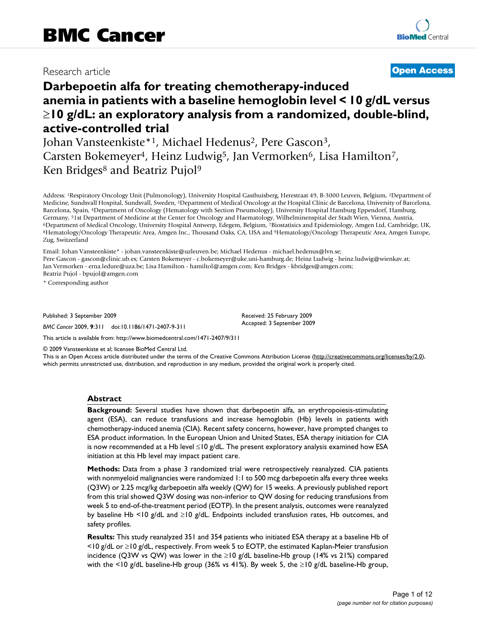# Research article

# **[Open Access](http://www.biomedcentral.com/info/about/charter/)**

# **Darbepoetin alfa for treating chemotherapy-induced anemia in patients with a baseline hemoglobin level < 10 g/dL versus**  ≥**10 g/dL: an exploratory analysis from a randomized, double-blind, active-controlled trial**

Johan Vansteenkiste\*<sup>1</sup>, Michael Hedenus<sup>2</sup>, Pere Gascon<sup>3</sup>, Carsten Bokemeyer<sup>4</sup>, Heinz Ludwig<sup>5</sup>, Jan Vermorken<sup>6</sup>, Lisa Hamilton<sup>7</sup>, Ken Bridges<sup>8</sup> and Beatriz Pujol<sup>9</sup>

Address: 1Respiratory Oncology Unit (Pulmonology), University Hospital Gasthuisberg, Herestraat 49, B-3000 Leuven, Belgium, 2Department of Medicine, Sundsvall Hospital, Sundsvall, Sweden, 3Department of Medical Oncology at the Hospital Clínic de Barcelona, University of Barcelona, Barcelona, Spain, 4Department of Oncology (Hematology with Section Pneumology), University Hospital Hamburg Eppendorf, Hamburg, Germany, <sup>5</sup>1st Department of Medicine at the Center for Oncology and Haematology, Wilhelminenspital der Stadt Wien, Vienna, Austria,<br><sup>6</sup>Department of Medical Oncology, University Hospital Antwerp, Edegem, Belgium, <sup>7</sup>Bios Zug, Switzerland

Email: Johan Vansteenkiste\* - johan.vansteenkiste@uzleuven.be; Michael Hedenus - michael.hedenus@lvn.se; Pere Gascon - gascon@clinic.ub.es; Carsten Bokemeyer - c.bokemeyer@uke.uni-hamburg.de; Heinz Ludwig - heinz.ludwig@wienkav.at; Jan Vermorken - erna.ledure@uza.be; Lisa Hamilton - hamiltol@amgen.com; Ken Bridges - kbridges@amgen.com; Beatriz Pujol - bpujol@amgen.com

\* Corresponding author

Published: 3 September 2009

*BMC Cancer* 2009, **9**:311 doi:10.1186/1471-2407-9-311

[This article is available from: http://www.biomedcentral.com/1471-2407/9/311](http://www.biomedcentral.com/1471-2407/9/311)

© 2009 Vansteenkiste et al; licensee BioMed Central Ltd.

This is an Open Access article distributed under the terms of the Creative Commons Attribution License [\(http://creativecommons.org/licenses/by/2.0\)](http://creativecommons.org/licenses/by/2.0), which permits unrestricted use, distribution, and reproduction in any medium, provided the original work is properly cited.

Received: 25 February 2009 Accepted: 3 September 2009

#### **Abstract**

**Background:** Several studies have shown that darbepoetin alfa, an erythropoiesis-stimulating agent (ESA), can reduce transfusions and increase hemoglobin (Hb) levels in patients with chemotherapy-induced anemia (CIA). Recent safety concerns, however, have prompted changes to ESA product information. In the European Union and United States, ESA therapy initiation for CIA is now recommended at a Hb level ≤10 g/dL. The present exploratory analysis examined how ESA initiation at this Hb level may impact patient care.

**Methods:** Data from a phase 3 randomized trial were retrospectively reanalyzed. CIA patients with nonmyeloid malignancies were randomized 1:1 to 500 mcg darbepoetin alfa every three weeks (Q3W) or 2.25 mcg/kg darbepoetin alfa weekly (QW) for 15 weeks. A previously published report from this trial showed Q3W dosing was non-inferior to QW dosing for reducing transfusions from week 5 to end-of-the-treatment period (EOTP). In the present analysis, outcomes were reanalyzed by baseline Hb <10 g/dL and ≥10 g/dL. Endpoints included transfusion rates, Hb outcomes, and safety profiles.

**Results:** This study reanalyzed 351 and 354 patients who initiated ESA therapy at a baseline Hb of <10 g/dL or ≥10 g/dL, respectively. From week 5 to EOTP, the estimated Kaplan-Meier transfusion incidence (Q3W vs QW) was lower in the  $\geq$ 10 g/dL baseline-Hb group (14% vs 21%) compared with the <10 g/dL baseline-Hb group (36% vs 41%). By week 5, the ≥10 g/dL baseline-Hb group,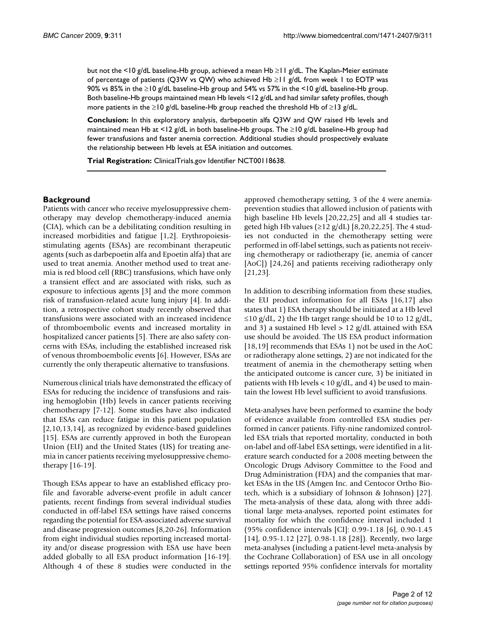but not the <10 g/dL baseline-Hb group, achieved a mean Hb ≥11 g/dL. The Kaplan-Meier estimate of percentage of patients (Q3W vs QW) who achieved Hb ≥11 g/dL from week 1 to EOTP was 90% vs 85% in the ≥10 g/dL baseline-Hb group and 54% vs 57% in the <10 g/dL baseline-Hb group. Both baseline-Hb groups maintained mean Hb levels <12 g/dL and had similar safety profiles, though more patients in the ≥10 g/dL baseline-Hb group reached the threshold Hb of ≥13 g/dL.

**Conclusion:** In this exploratory analysis, darbepoetin alfa Q3W and QW raised Hb levels and maintained mean Hb at <12 g/dL in both baseline-Hb groups. The ≥10 g/dL baseline-Hb group had fewer transfusions and faster anemia correction. Additional studies should prospectively evaluate the relationship between Hb levels at ESA initiation and outcomes.

**Trial Registration:** ClinicalTrials.gov Identifier NCT00118638.

# **Background**

Patients with cancer who receive myelosuppressive chemotherapy may develop chemotherapy-induced anemia (CIA), which can be a debilitating condition resulting in increased morbidities and fatigue [[1](#page-10-0),[2](#page-10-1)]. Erythropoiesisstimulating agents (ESAs) are recombinant therapeutic agents (such as darbepoetin alfa and Epoetin alfa) that are used to treat anemia. Another method used to treat anemia is red blood cell (RBC) transfusions, which have only a transient effect and are associated with risks, such as exposure to infectious agents [[3](#page-10-2)] and the more common risk of transfusion-related acute lung injury [\[4\]](#page-10-3). In addition, a retrospective cohort study recently observed that transfusions were associated with an increased incidence of thromboembolic events and increased mortality in hospitalized cancer patients [\[5\]](#page-10-4). There are also safety concerns with ESAs, including the established increased risk of venous thromboembolic events [[6](#page-10-5)]. However, ESAs are currently the only therapeutic alternative to transfusions.

Numerous clinical trials have demonstrated the efficacy of ESAs for reducing the incidence of transfusions and raising hemoglobin (Hb) levels in cancer patients receiving chemotherapy [[7](#page-10-6)[-12](#page-11-0)]. Some studies have also indicated that ESAs can reduce fatigue in this patient population [[2](#page-10-1)[,10](#page-10-7),[13,](#page-11-1)[14](#page-11-2)], as recognized by evidence-based guidelines [[15](#page-11-3)]. ESAs are currently approved in both the European Union (EU) and the United States (US) for treating anemia in cancer patients receiving myelosuppressive chemotherapy [[16-](#page-11-4)[19\]](#page-11-5).

Though ESAs appear to have an established efficacy profile and favorable adverse-event profile in adult cancer patients, recent findings from several individual studies conducted in off-label ESA settings have raised concerns regarding the potential for ESA-associated adverse survival and disease progression outcomes [\[8](#page-10-8)[,20](#page-11-6)[-26](#page-11-7)]. Information from eight individual studies reporting increased mortality and/or disease progression with ESA use have been added globally to all ESA product information [\[16](#page-11-4)[-19](#page-11-5)]. Although 4 of these 8 studies were conducted in the

approved chemotherapy setting, 3 of the 4 were anemiaprevention studies that allowed inclusion of patients with high baseline Hb levels [[20](#page-11-6),[22,](#page-11-8)[25](#page-11-9)] and all 4 studies targeted high Hb values ( $\geq$ 12 g/dL) [[8](#page-10-8),[20,](#page-11-6)[22](#page-11-8),[25](#page-11-9)]. The 4 studies not conducted in the chemotherapy setting were performed in off-label settings, such as patients not receiving chemotherapy or radiotherapy (ie, anemia of cancer [AoC]) [\[24](#page-11-10),[26](#page-11-7)] and patients receiving radiotherapy only [[21](#page-11-11),[23\]](#page-11-12).

In addition to describing information from these studies, the EU product information for all ESAs [[16](#page-11-4),[17\]](#page-11-13) also states that 1) ESA therapy should be initiated at a Hb level  $\leq$ 10 g/dL, 2) the Hb target range should be 10 to 12 g/dL, and 3) a sustained Hb level  $> 12$  g/dL attained with ESA use should be avoided. The US ESA product information [[18](#page-11-14),[19\]](#page-11-5) recommends that ESAs 1) not be used in the AoC or radiotherapy alone settings, 2) are not indicated for the treatment of anemia in the chemotherapy setting when the anticipated outcome is cancer cure, 3) be initiated in patients with Hb levels  $<$  10 g/dL, and 4) be used to maintain the lowest Hb level sufficient to avoid transfusions.

Meta-analyses have been performed to examine the body of evidence available from controlled ESA studies performed in cancer patients. Fifty-nine randomized controlled ESA trials that reported mortality, conducted in both on-label and off-label ESA settings, were identified in a literature search conducted for a 2008 meeting between the Oncologic Drugs Advisory Committee to the Food and Drug Administration (FDA) and the companies that market ESAs in the US (Amgen Inc. and Centocor Ortho Biotech, which is a subsidiary of Johnson & Johnson) [\[27](#page-11-15)]. The meta-analysis of these data, along with three additional large meta-analyses, reported point estimates for mortality for which the confidence interval included 1 (95% confidence intervals [CI]: 0.99-1.18 [[6](#page-10-5)], 0.90-1.45 [[14](#page-11-2)], 0.95-1.12 [\[27](#page-11-15)], 0.98-1.18 [\[28](#page-11-16)]). Recently, two large meta-analyses (including a patient-level meta-analysis by the Cochrane Collaboration) of ESA use in all oncology settings reported 95% confidence intervals for mortality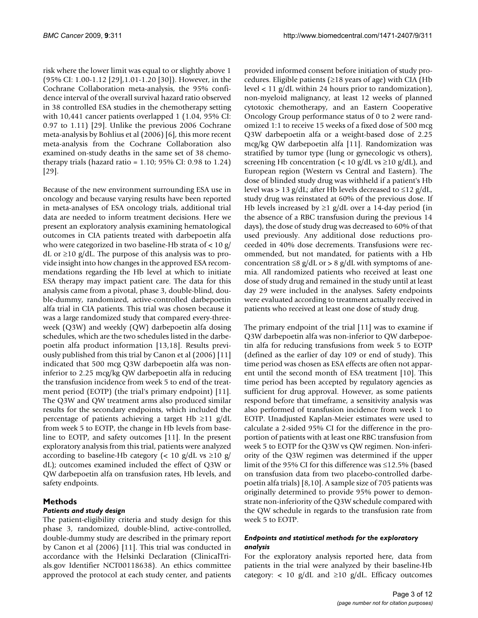risk where the lower limit was equal to or slightly above 1 (95% CI: 1.00-1.12 [\[29](#page-11-17)],1.01-1.20 [[30\]](#page-11-18)). However, in the Cochrane Collaboration meta-analysis, the 95% confidence interval of the overall survival hazard ratio observed in 38 controlled ESA studies in the chemotherapy setting with 10,441 cancer patients overlapped 1 (1.04, 95% CI: 0.97 to 1.11) [\[29\]](#page-11-17). Unlike the previous 2006 Cochrane meta-analysis by Bohlius et al (2006) [\[6\]](#page-10-5), this more recent meta-analysis from the Cochrane Collaboration also examined on-study deaths in the same set of 38 chemotherapy trials (hazard ratio = 1.10; 95% CI: 0.98 to 1.24) [[29](#page-11-17)].

Because of the new environment surrounding ESA use in oncology and because varying results have been reported in meta-analyses of ESA oncology trials, additional trial data are needed to inform treatment decisions. Here we present an exploratory analysis examining hematological outcomes in CIA patients treated with darbepoetin alfa who were categorized in two baseline-Hb strata of < 10 g/ dL or  $\geq$ 10 g/dL. The purpose of this analysis was to provide insight into how changes in the approved ESA recommendations regarding the Hb level at which to initiate ESA therapy may impact patient care. The data for this analysis came from a pivotal, phase 3, double-blind, double-dummy, randomized, active-controlled darbepoetin alfa trial in CIA patients. This trial was chosen because it was a large randomized study that compared every-threeweek (Q3W) and weekly (QW) darbepoetin alfa dosing schedules, which are the two schedules listed in the darbepoetin alfa product information [\[13](#page-11-1),[18\]](#page-11-14). Results previously published from this trial by Canon et al (2006) [[11\]](#page-11-19) indicated that 500 mcg Q3W darbepoetin alfa was noninferior to 2.25 mcg/kg QW darbepoetin alfa in reducing the transfusion incidence from week 5 to end of the treatment period (EOTP) (the trial's primary endpoint) [\[11](#page-11-19)]. The Q3W and QW treatment arms also produced similar results for the secondary endpoints, which included the percentage of patients achieving a target Hb  $\geq$ 11 g/dL from week 5 to EOTP, the change in Hb levels from baseline to EOTP, and safety outcomes [\[11](#page-11-19)]. In the present exploratory analysis from this trial, patients were analyzed according to baseline-Hb category (< 10 g/dL vs  $\geq$ 10 g/ dL); outcomes examined included the effect of Q3W or QW darbepoetin alfa on transfusion rates, Hb levels, and safety endpoints.

# **Methods**

# *Patients and study design*

The patient-eligibility criteria and study design for this phase 3, randomized, double-blind, active-controlled, double-dummy study are described in the primary report by Canon et al (2006) [\[11](#page-11-19)]. This trial was conducted in accordance with the Helsinki Declaration (ClinicalTrials.gov Identifier NCT00118638). An ethics committee approved the protocol at each study center, and patients

provided informed consent before initiation of study procedures. Eligible patients ( $\geq$ 18 years of age) with CIA (Hb level < 11 g/dL within 24 hours prior to randomization), non-myeloid malignancy, at least 12 weeks of planned cytotoxic chemotherapy, and an Eastern Cooperative Oncology Group performance status of 0 to 2 were randomized 1:1 to receive 15 weeks of a fixed dose of 500 mcg Q3W darbepoetin alfa or a weight-based dose of 2.25 mcg/kg QW darbepoetin alfa [[11](#page-11-19)]. Randomization was stratified by tumor type (lung or gynecologic vs others), screening Hb concentration ( $< 10$  g/dL vs  $\geq 10$  g/dL), and European region (Western vs Central and Eastern). The dose of blinded study drug was withheld if a patient's Hb level was > 13 g/dL; after Hb levels decreased to  $\leq$ 12 g/dL, study drug was reinstated at 60% of the previous dose. If Hb levels increased by  $\geq$ 1 g/dL over a 14-day period (in the absence of a RBC transfusion during the previous 14 days), the dose of study drug was decreased to 60% of that used previously. Any additional dose reductions proceeded in 40% dose decrements. Transfusions were recommended, but not mandated, for patients with a Hb concentration  $\leq 8$  g/dL or > 8 g/dL with symptoms of anemia. All randomized patients who received at least one dose of study drug and remained in the study until at least day 29 were included in the analyses. Safety endpoints were evaluated according to treatment actually received in patients who received at least one dose of study drug.

The primary endpoint of the trial [[11](#page-11-19)] was to examine if Q3W darbepoetin alfa was non-inferior to QW darbepoetin alfa for reducing transfusions from week 5 to EOTP (defined as the earlier of day 109 or end of study). This time period was chosen as ESA effects are often not apparent until the second month of ESA treatment [\[10\]](#page-10-7). This time period has been accepted by regulatory agencies as sufficient for drug approval. However, as some patients respond before that timeframe, a sensitivity analysis was also performed of transfusion incidence from week 1 to EOTP. Unadjusted Kaplan-Meier estimates were used to calculate a 2-sided 95% CI for the difference in the proportion of patients with at least one RBC transfusion from week 5 to EOTP for the Q3W vs QW regimen. Non-inferiority of the Q3W regimen was determined if the upper limit of the 95% CI for this difference was ≤12.5% (based on transfusion data from two placebo-controlled darbepoetin alfa trials) [[8](#page-10-8),[10\]](#page-10-7). A sample size of 705 patients was originally determined to provide 95% power to demonstrate non-inferiority of the Q3W schedule compared with the QW schedule in regards to the transfusion rate from week 5 to EOTP.

# *Endpoints and statistical methods for the exploratory analysis*

For the exploratory analysis reported here, data from patients in the trial were analyzed by their baseline-Hb category: < 10 g/dL and  $\geq$ 10 g/dL. Efficacy outcomes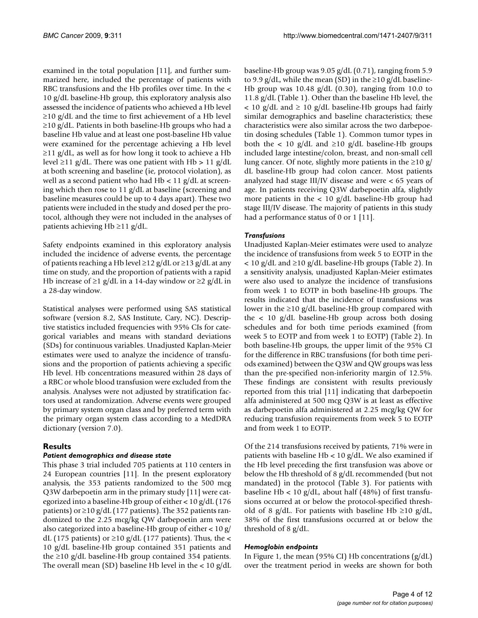examined in the total population [[11\]](#page-11-19), and further summarized here, included the percentage of patients with RBC transfusions and the Hb profiles over time. In the < 10 g/dL baseline-Hb group, this exploratory analysis also assessed the incidence of patients who achieved a Hb level  $\geq$ 10 g/dL and the time to first achievement of a Hb level ≥10 g/dL. Patients in both baseline-Hb groups who had a baseline Hb value and at least one post-baseline Hb value were examined for the percentage achieving a Hb level  $\geq$ 11 g/dL, as well as for how long it took to achieve a Hb level ≥11 g/dL. There was one patient with Hb > 11 g/dL at both screening and baseline (ie, protocol violation), as well as a second patient who had  $Hb < 11$  g/dL at screening which then rose to 11 g/dL at baseline (screening and baseline measures could be up to 4 days apart). These two patients were included in the study and dosed per the protocol, although they were not included in the analyses of patients achieving Hb ≥11 g/dL.

Safety endpoints examined in this exploratory analysis included the incidence of adverse events, the percentage of patients reaching a Hb level  $\geq$ 12 g/dL or  $\geq$ 13 g/dL at any time on study, and the proportion of patients with a rapid Hb increase of  $\geq$ 1 g/dL in a 14-day window or  $\geq$ 2 g/dL in a 28-day window.

Statistical analyses were performed using SAS statistical software (version 8.2, SAS Institute, Cary, NC). Descriptive statistics included frequencies with 95% CIs for categorical variables and means with standard deviations (SDs) for continuous variables. Unadjusted Kaplan-Meier estimates were used to analyze the incidence of transfusions and the proportion of patients achieving a specific Hb level. Hb concentrations measured within 28 days of a RBC or whole blood transfusion were excluded from the analysis. Analyses were not adjusted by stratification factors used at randomization. Adverse events were grouped by primary system organ class and by preferred term with the primary organ system class according to a MedDRA dictionary (version 7.0).

# **Results**

#### *Patient demographics and disease state*

This phase 3 trial included 705 patients at 110 centers in 24 European countries [\[11](#page-11-19)]. In the present exploratory analysis, the 353 patients randomized to the 500 mcg Q3W darbepoetin arm in the primary study [[11](#page-11-19)] were categorized into a baseline-Hb group of either < 10 g/dL (176 patients) or ≥10 g/dL (177 patients). The 352 patients randomized to the 2.25 mcg/kg QW darbepoetin arm were also categorized into a baseline-Hb group of either < 10 g/ dL (175 patients) or  $\geq$ 10 g/dL (177 patients). Thus, the < 10 g/dL baseline-Hb group contained 351 patients and the ≥10 g/dL baseline-Hb group contained 354 patients. The overall mean (SD) baseline Hb level in the  $< 10 \text{ g/dL}$  baseline-Hb group was 9.05 g/dL (0.71), ranging from 5.9 to 9.9 g/dL, while the mean (SD) in the  $\geq$ 10 g/dL baseline-Hb group was  $10.48$  g/dL (0.30), ranging from 10.0 to 11.8 g/dL (Table [1](#page-4-0)). Other than the baseline Hb level, the  $<$  10 g/dL and  $\geq$  10 g/dL baseline-Hb groups had fairly similar demographics and baseline characteristics; these characteristics were also similar across the two darbepoetin dosing schedules (Table [1](#page-4-0)). Common tumor types in both the < 10 g/dL and  $\geq$ 10 g/dL baseline-Hb groups included large intestine/colon, breast, and non-small cell lung cancer. Of note, slightly more patients in the  $\geq 10$  g/ dL baseline-Hb group had colon cancer. Most patients analyzed had stage III/IV disease and were < 65 years of age. In patients receiving Q3W darbepoetin alfa, slightly more patients in the  $< 10$  g/dL baseline-Hb group had stage III/IV disease. The majority of patients in this study had a performance status of 0 or 1 [\[11](#page-11-19)].

# *Transfusions*

Unadjusted Kaplan-Meier estimates were used to analyze the incidence of transfusions from week 5 to EOTP in the  $<$  10 g/dL and  $\geq$ 10 g/dL baseline-Hb groups (Table [2\)](#page-5-0). In a sensitivity analysis, unadjusted Kaplan-Meier estimates were also used to analyze the incidence of transfusions from week 1 to EOTP in both baseline-Hb groups. The results indicated that the incidence of transfusions was lower in the  $\geq$ 10 g/dL baseline-Hb group compared with the < 10 g/dL baseline-Hb group across both dosing schedules and for both time periods examined (from week 5 to EOTP and from week 1 to EOTP) (Table [2\)](#page-5-0). In both baseline-Hb groups, the upper limit of the 95% CI for the difference in RBC transfusions (for both time periods examined) between the Q3W and QW groups was less than the pre-specified non-inferiority margin of 12.5%. These findings are consistent with results previously reported from this trial [\[11](#page-11-19)] indicating that darbepoetin alfa administered at 500 mcg Q3W is at least as effective as darbepoetin alfa administered at 2.25 mcg/kg QW for reducing transfusion requirements from week 5 to EOTP and from week 1 to EOTP.

Of the 214 transfusions received by patients, 71% were in patients with baseline Hb < 10 g/dL. We also examined if the Hb level preceding the first transfusion was above or below the Hb threshold of 8 g/dL recommended (but not mandated) in the protocol (Table [3](#page-5-1)). For patients with baseline Hb < 10 g/dL, about half (48%) of first transfusions occurred at or below the protocol-specified threshold of 8 g/dL. For patients with baseline Hb ≥10 g/dL, 38% of the first transfusions occurred at or below the threshold of 8 g/dL.

#### *Hemoglobin endpoints*

In Figure [1](#page-6-0), the mean (95% CI) Hb concentrations (g/dL) over the treatment period in weeks are shown for both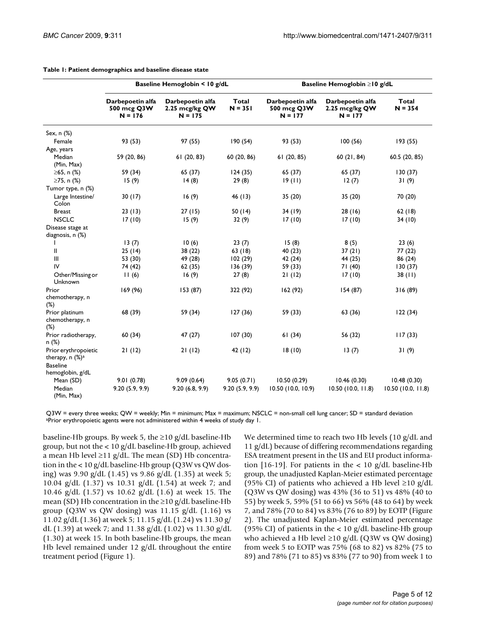|                                                                                              | Baseline Hemoglobin < 10 g/dL                |                                               |                           |                                              | Baseline Hemoglobin ≥10 g/dL                    |                    |  |
|----------------------------------------------------------------------------------------------|----------------------------------------------|-----------------------------------------------|---------------------------|----------------------------------------------|-------------------------------------------------|--------------------|--|
|                                                                                              | Darbepoetin alfa<br>500 mcg Q3W<br>$N = 176$ | Darbepoetin alfa<br>2.25 mcg/kg QW<br>N = 175 | <b>Total</b><br>$N = 351$ | Darbepoetin alfa<br>500 mcg Q3W<br>$N = 177$ | Darbepoetin alfa<br>2.25 mcg/kg QW<br>$N = 177$ | Total<br>$N = 354$ |  |
| Sex, $n$ $%$                                                                                 |                                              |                                               |                           |                                              |                                                 |                    |  |
| Female                                                                                       | 93 (53)                                      | 97 (55)                                       | 190(54)                   | 93 (53)                                      | 100(56)                                         | 193 (55)           |  |
| Age, years                                                                                   |                                              |                                               |                           |                                              |                                                 |                    |  |
| Median<br>(Min, Max)                                                                         | 59 (20, 86)                                  | 61(20, 83)                                    | 60 (20, 86)               | 61(20, 85)                                   | 60 (21, 84)                                     | 60.5 (20, 85)      |  |
| ≥65, n $%$                                                                                   | 59 (34)                                      | 65(37)                                        | 124(35)                   | 65 (37)                                      | 65 (37)                                         | 130(37)            |  |
| ≥75, n $%$                                                                                   | 15(9)                                        | 14(8)                                         | 29(8)                     | 19(11)                                       | 12(7)                                           | 31(9)              |  |
| Tumor type, n (%)                                                                            |                                              |                                               |                           |                                              |                                                 |                    |  |
| Large Intestine/<br>Colon                                                                    | 30(17)                                       | 16(9)                                         | 46 (13)                   | 35(20)                                       | 35 (20)                                         | 70 (20)            |  |
| <b>Breast</b>                                                                                | 23(13)                                       | 27(15)                                        | 50 $(14)$                 | 34(19)                                       | 28(16)                                          | 62(18)             |  |
| <b>NSCLC</b>                                                                                 | 17(10)                                       | 15(9)                                         | 32(9)                     | 17(10)                                       | 17(10)                                          | 34(10)             |  |
| Disease stage at<br>diagnosis, n (%)                                                         |                                              |                                               |                           |                                              |                                                 |                    |  |
| ı                                                                                            | 13(7)                                        | 10(6)                                         | 23(7)                     | 15(8)                                        | 8(5)                                            | 23(6)              |  |
| Ш                                                                                            | 25(14)                                       | 38(22)                                        | 63(18)                    | 40 (23)                                      | 37(21)                                          | 77(22)             |  |
| $\mathbf{III}$                                                                               | 53 (30)                                      | 49 (28)                                       | 102(29)                   | 42 (24)                                      | 44 (25)                                         | 86 (24)            |  |
| IV                                                                                           | 74 (42)                                      | 62(35)                                        | 136(39)                   | 59 (33)                                      | 71 (40)                                         | 130(37)            |  |
| Other/Missing or<br>Unknown                                                                  | 11(6)                                        | 16(9)                                         | 27(8)                     | 21(12)                                       | 17(10)                                          | 38(11)             |  |
| Prior                                                                                        | 169 (96)                                     | 153 (87)                                      | 322 (92)                  | 162 (92)                                     | 154(87)                                         | 316 (89)           |  |
| chemotherapy, n<br>$(\%)$                                                                    |                                              |                                               |                           |                                              |                                                 |                    |  |
| Prior platinum<br>chemotherapy, n<br>$(\%)$                                                  | 68 (39)                                      | 59 (34)                                       | 127(36)                   | 59 (33)                                      | 63 (36)                                         | 122(34)            |  |
| Prior radiotherapy,<br>n(%)                                                                  | 60 (34)                                      | 47(27)                                        | 107(30)                   | 61(34)                                       | 56 (32)                                         | 117(33)            |  |
| Prior erythropoietic<br>therapy, $n$ (%) <sup>a</sup><br><b>Baseline</b><br>hemoglobin, g/dL | 21(12)                                       | 21(12)                                        | 42 (12)                   | 18(10)                                       | 13(7)                                           | 31(9)              |  |
| Mean (SD)                                                                                    | 9.01(0.78)                                   | 9.09(0.64)                                    | 9.05(0.71)                | 10.50(0.29)                                  | 10.46(0.30)                                     | 10.48(0.30)        |  |
| Median<br>(Min, Max)                                                                         | 9.20(5.9, 9.9)                               | 9.20(6.8, 9.9)                                | 9.20(5.9, 9.9)            | 10.50 (10.0, 10.9)                           | $10.50$ (10.0, 11.8)                            | 10.50(10.0, 11.8)  |  |

#### <span id="page-4-0"></span>**Table 1: Patient demographics and baseline disease state**

Q3W = every three weeks; QW = weekly; Min = minimum; Max = maximum; NSCLC = non-small cell lung cancer; SD = standard deviation aPrior erythropoietic agents were not administered within 4 weeks of study day 1.

baseline-Hb groups. By week 5, the  $\geq 10$  g/dL baseline-Hb group, but not the < 10 g/dL baseline-Hb group, achieved a mean Hb level ≥11 g/dL. The mean (SD) Hb concentration in the < 10 g/dL baseline-Hb group (Q3W vs QW dosing) was 9.90 g/dL (1.45) vs 9.86 g/dL (1.35) at week 5; 10.04 g/dL (1.37) vs 10.31 g/dL (1.54) at week 7; and 10.46 g/dL (1.57) vs 10.62 g/dL (1.6) at week 15. The mean (SD) Hb concentration in the  $\geq$ 10 g/dL baseline-Hb group (Q3W vs QW dosing) was 11.15  $g/dL$  (1.16) vs 11.02 g/dL (1.36) at week 5; 11.15 g/dL (1.24) vs 11.30 g/ dL (1.39) at week 7; and 11.38 g/dL (1.02) vs 11.30 g/dL (1.30) at week 15. In both baseline-Hb groups, the mean Hb level remained under 12 g/dL throughout the entire treatment period (Figure [1](#page-6-0)).

We determined time to reach two Hb levels (10 g/dL and 11 g/dL) because of differing recommendations regarding ESA treatment present in the US and EU product informa-tion [[16](#page-11-4)[-19](#page-11-5)]. For patients in the  $< 10$  g/dL baseline-Hb group, the unadjusted Kaplan-Meier estimated percentage (95% CI) of patients who achieved a Hb level  $\geq 10$  g/dL (Q3W vs QW dosing) was 43% (36 to 51) vs 48% (40 to 55) by week 5, 59% (51 to 66) vs 56% (48 to 64) by week 7, and 78% (70 to 84) vs 83% (76 to 89) by EOTP (Figure [2](#page-6-1)). The unadjusted Kaplan-Meier estimated percentage (95% CI) of patients in the  $< 10$  g/dL baseline-Hb group who achieved a Hb level  $\geq$ 10 g/dL (Q3W vs QW dosing) from week 5 to EOTP was 75% (68 to 82) vs 82% (75 to 89) and 78% (71 to 85) vs 83% (77 to 90) from week 1 to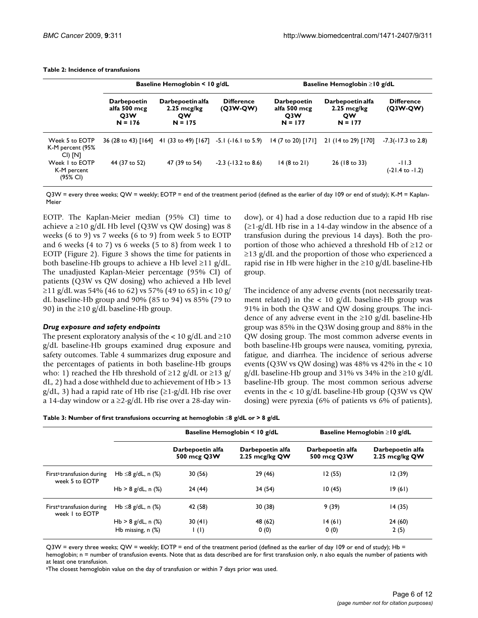|                                               | Baseline Hemoglobin $\leq 10$ g/dL                                  |                                                              |                                 |                                                                     | Baseline Hemoglobin $\geq$ 10 g/dL                           |                                 |  |
|-----------------------------------------------|---------------------------------------------------------------------|--------------------------------------------------------------|---------------------------------|---------------------------------------------------------------------|--------------------------------------------------------------|---------------------------------|--|
|                                               | <b>Darbepoetin</b><br>alfa 500 mcg<br>O <sub>3</sub> W<br>$N = 176$ | Darbepoetin alfa<br>$2.25 \text{ mcg/kg}$<br>QW<br>$N = 175$ | <b>Difference</b><br>$(Q3W-QW)$ | <b>Darbepoetin</b><br>alfa 500 mcg<br>O <sub>3</sub> W<br>$N = 177$ | Darbepoetin alfa<br>$2.25 \text{ mcg/kg}$<br>QW<br>$N = 177$ | <b>Difference</b><br>$(Q3W-QW)$ |  |
| Week 5 to EOTP<br>K-M percent (95%<br>CI) [N] |                                                                     | 36 (28 to 43) [164] 41 (33 to 49) [167] -5.1 (-16.1 to 5.9)  |                                 | $14(7 \text{ to } 20)$ [171]                                        | 21 (14 to 29) [170]                                          | $-7.3(-17.3)$ to 2.8)           |  |
| Week I to EOTP<br>K-M percent<br>(95% CI)     | 44 (37 to 52)                                                       | 47 (39 to 54)                                                | $-2.3$ ( $-13.2$ to 8.6)        | $14(8 \text{ to } 21)$                                              | 26 (18 to 33)                                                | $-11.3$<br>(-21.4 to -1.2)      |  |

<span id="page-5-0"></span>**Table 2: Incidence of transfusions**

Q3W = every three weeks; QW = weekly; EOTP = end of the treatment period (defined as the earlier of day 109 or end of study); K-M = Kaplan-Meier

EOTP. The Kaplan-Meier median (95% CI) time to achieve a ≥10 g/dL Hb level (Q3W vs QW dosing) was 8 weeks (6 to 9) vs 7 weeks (6 to 9) from week 5 to EOTP and 6 weeks (4 to 7) vs 6 weeks (5 to 8) from week 1 to EOTP (Figure [2\)](#page-6-1). Figure [3](#page-7-0) shows the time for patients in both baseline-Hb groups to achieve a Hb level  $\geq$ 11 g/dL. The unadjusted Kaplan-Meier percentage (95% CI) of patients (Q3W vs QW dosing) who achieved a Hb level ≥11 g/dL was 54% (46 to 62) vs 57% (49 to 65) in < 10 g/ dL baseline-Hb group and 90% (85 to 94) vs 85% (79 to 90) in the  $\geq$ 10 g/dL baseline-Hb group.

#### *Drug exposure and safety endpoints*

The present exploratory analysis of the  $< 10$  g/dL and  $\geq 10$ g/dL baseline-Hb groups examined drug exposure and safety outcomes. Table [4](#page-8-0) summarizes drug exposure and the percentages of patients in both baseline-Hb groups who: 1) reached the Hb threshold of  $\geq$ 12 g/dL or  $\geq$ 13 g/  $dL$ , 2) had a dose withheld due to achievement of Hb  $> 13$  $g/dL$ , 3) had a rapid rate of Hb rise ( $\geq$ 1-g/dL Hb rise over a 14-day window or a  $\geq$ 2-g/dL Hb rise over a 28-day window), or 4) had a dose reduction due to a rapid Hb rise  $(\geq 1-g/dL)$  Hb rise in a 14-day window in the absence of a transfusion during the previous 14 days). Both the proportion of those who achieved a threshold Hb of ≥12 or  $\geq$ 13 g/dL and the proportion of those who experienced a rapid rise in Hb were higher in the  $\geq 10$  g/dL baseline-Hb group.

The incidence of any adverse events (not necessarily treatment related) in the  $< 10$  g/dL baseline-Hb group was 91% in both the Q3W and QW dosing groups. The incidence of any adverse event in the  $\geq 10$  g/dL baseline-Hb group was 85% in the Q3W dosing group and 88% in the QW dosing group. The most common adverse events in both baseline-Hb groups were nausea, vomiting, pyrexia, fatigue, and diarrhea. The incidence of serious adverse events ( $Q3W$  vs  $QW$  dosing) was 48% vs 42% in the  $< 10$ g/dL baseline-Hb group and 31% vs 34% in the ≥10 g/dL baseline-Hb group. The most common serious adverse events in the < 10 g/dL baseline-Hb group (Q3W vs QW dosing) were pyrexia (6% of patients vs 6% of patients),

<span id="page-5-1"></span>

|                                                         |                         |                                 | Baseline Hemoglobin $\leq 10$ g/dL | Baseline Hemoglobin $\geq$ 10 g/dL |                                    |  |
|---------------------------------------------------------|-------------------------|---------------------------------|------------------------------------|------------------------------------|------------------------------------|--|
|                                                         |                         | Darbepoetin alfa<br>500 mcg Q3W | Darbepoetin alfa<br>2.25 mcg/kg QW | Darbepoetin alfa<br>500 mcg Q3W    | Darbepoetin alfa<br>2.25 mcg/kg QW |  |
| First <sup>a</sup> transfusion during<br>week 5 to EOTP | Hb $\leq$ 8 g/dL, n (%) | 30(56)                          | 29 (46)                            | 12(55)                             | 12(39)                             |  |
|                                                         | Hb $> 8$ g/dL, n $(\%)$ | 24(44)                          | 34(54)                             | 10(45)                             | 19(61)                             |  |
| First <sup>a</sup> transfusion during<br>week I to EOTP | Hb ≤8 g/dL, n $(%$      | 42 (58)                         | 30(38)                             | 9(39)                              | 14(35)                             |  |
|                                                         | Hb $> 8$ g/dL, n $(\%)$ | 30(41)                          | 48 (62)                            | 14(61)                             | 24 (60)                            |  |
|                                                         | Hb missing, $n$ $(\%)$  | $\mathsf{I}(\mathsf{I})$        | 0(0)                               | 0(0)                               | 2(5)                               |  |

Q3W = every three weeks; QW = weekly; EOTP = end of the treatment period (defined as the earlier of day 109 or end of study); Hb =

hemoglobin; n = number of transfusion events. Note that as data described are for first transfusion only, n also equals the number of patients with at least one transfusion.

aThe closest hemoglobin value on the day of transfusion or within 7 days prior was used.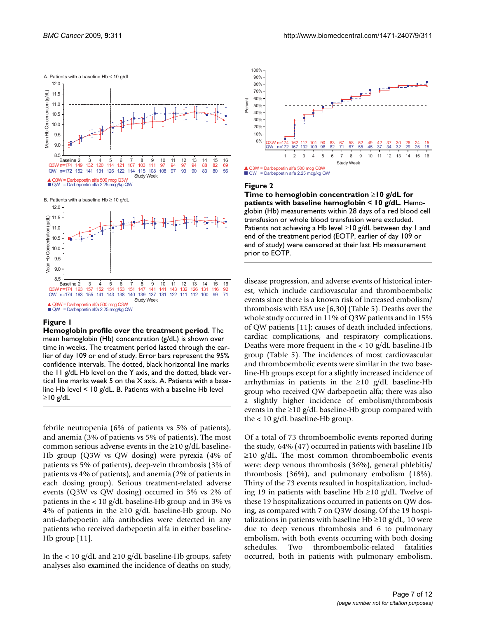<span id="page-6-0"></span>

B. Patients with a baseline Hb ≥ 10 g/dL



#### **Figure 1**

**Hemoglobin profile over the treatment period**. The mean hemoglobin (Hb) concentration (g/dL) is shown over time in weeks. The treatment period lasted through the earlier of day 109 or end of study. Error bars represent the 95% confidence intervals. The dotted, black horizontal line marks the 11 g/dL Hb level on the Y axis, and the dotted, black vertical line marks week 5 on the X axis. A. Patients with a baseline Hb level < 10 g/dL. B. Patients with a baseline Hb level ≥10 g/dL

febrile neutropenia (6% of patients vs 5% of patients), and anemia (3% of patients vs 5% of patients). The most common serious adverse events in the  $\geq$ 10 g/dL baseline-Hb group (Q3W vs QW dosing) were pyrexia (4% of patients vs 5% of patients), deep-vein thrombosis (3% of patients vs 4% of patients), and anemia (2% of patients in each dosing group). Serious treatment-related adverse events (Q3W vs QW dosing) occurred in 3% vs 2% of patients in the < 10 g/dL baseline-Hb group and in 3% vs 4% of patients in the  $\geq 10$  g/dL baseline-Hb group. No anti-darbepoetin alfa antibodies were detected in any patients who received darbepoetin alfa in either baseline-Hb group [[11\]](#page-11-19).

In the < 10 g/dL and ≥10 g/dL baseline-Hb groups, safety analyses also examined the incidence of deaths on study,

<span id="page-6-1"></span>

#### Figure 2

**Time to hemoglobin concentration** ≥**10 g/dL for patients with baseline hemoglobin < 10 g/dL**. Hemoglobin (Hb) measurements within 28 days of a red blood cell transfusion or whole blood transfusion were excluded. Patients not achieving a Hb level  $\geq$ 10 g/dL between day 1 and end of the treatment period (EOTP, earlier of day 109 or end of study) were censored at their last Hb measurement prior to EOTP.

disease progression, and adverse events of historical interest, which include cardiovascular and thromboembolic events since there is a known risk of increased embolism/ thrombosis with ESA use [[6](#page-10-5),[30\]](#page-11-18) (Table [5\)](#page-9-0). Deaths over the whole study occurred in 11% of Q3W patients and in 15% of QW patients [[11\]](#page-11-19); causes of death included infections, cardiac complications, and respiratory complications. Deaths were more frequent in the < 10 g/dL baseline-Hb group (Table [5](#page-9-0)). The incidences of most cardiovascular and thromboembolic events were similar in the two baseline-Hb groups except for a slightly increased incidence of arrhythmias in patients in the  $\geq 10$  g/dL baseline-Hb group who received QW darbepoetin alfa; there was also a slightly higher incidence of embolism/thrombosis events in the  $\geq$ 10 g/dL baseline-Hb group compared with the < 10 g/dL baseline-Hb group.

Of a total of 73 thromboembolic events reported during the study, 64% (47) occurred in patients with baseline Hb  $\geq$ 10 g/dL. The most common thromboembolic events were: deep venous thrombosis (36%), general phlebitis/ thrombosis (36%), and pulmonary embolism (18%). Thirty of the 73 events resulted in hospitalization, including 19 in patients with baseline Hb ≥10 g/dL. Twelve of these 19 hospitalizations occurred in patients on QW dosing, as compared with 7 on Q3W dosing. Of the 19 hospitalizations in patients with baseline Hb  $\geq$ 10 g/dL, 10 were due to deep venous thrombosis and 6 to pulmonary embolism, with both events occurring with both dosing schedules. Two thromboembolic-related fatalities occurred, both in patients with pulmonary embolism.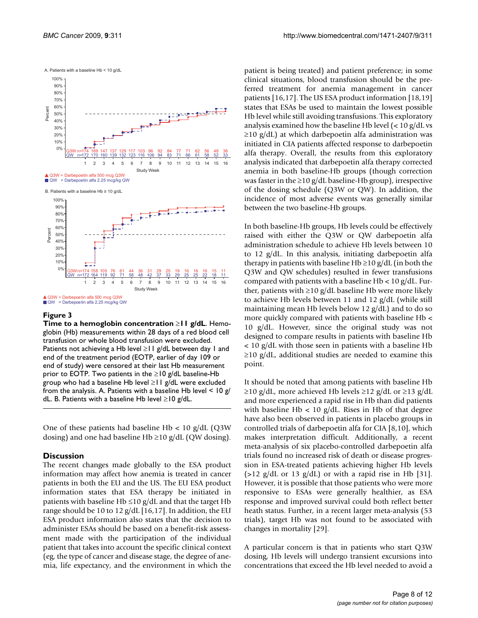<span id="page-7-0"></span>

#### **Figure 3**

**Time to a hemoglobin concentration** ≥**11 g/dL**. Hemoglobin (Hb) measurements within 28 days of a red blood cell transfusion or whole blood transfusion were excluded. Patients not achieving a Hb level ≥11 g/dL between day 1 and end of the treatment period (EOTP, earlier of day 109 or end of study) were censored at their last Hb measurement prior to EOTP. Two patients in the  $\geq$ 10 g/dL baseline-Hb group who had a baseline Hb level ≥11 g/dL were excluded from the analysis. A. Patients with a baseline Hb level  $\leq 10 \frac{g}{c}$ dL. B. Patients with a baseline Hb level ≥10 g/dL.

One of these patients had baseline Hb  $< 10$  g/dL (Q3W) dosing) and one had baseline Hb  $\geq$ 10 g/dL (QW dosing).

# **Discussion**

The recent changes made globally to the ESA product information may affect how anemia is treated in cancer patients in both the EU and the US. The EU ESA product information states that ESA therapy be initiated in patients with baseline Hb  $\leq 10$  g/dL and that the target Hb range should be 10 to 12  $g/dL$  [\[16](#page-11-4),[17](#page-11-13)]. In addition, the EU ESA product information also states that the decision to administer ESAs should be based on a benefit-risk assessment made with the participation of the individual patient that takes into account the specific clinical context (eg, the type of cancer and disease stage, the degree of anemia, life expectancy, and the environment in which the

patient is being treated) and patient preference; in some clinical situations, blood transfusion should be the preferred treatment for anemia management in cancer patients [[16](#page-11-4)[,17](#page-11-13)]. The US ESA product information [\[18](#page-11-14),[19\]](#page-11-5) states that ESAs be used to maintain the lowest possible Hb level while still avoiding transfusions. This exploratory analysis examined how the baseline Hb level (< 10 g/dL vs  $\geq$ 10 g/dL) at which darbepoetin alfa administration was initiated in CIA patients affected response to darbepoetin alfa therapy. Overall, the results from this exploratory analysis indicated that darbepoetin alfa therapy corrected anemia in both baseline-Hb groups (though correction was faster in the  $\geq$ 10 g/dL baseline-Hb group), irrespective of the dosing schedule (Q3W or QW). In addition, the incidence of most adverse events was generally similar between the two baseline-Hb groups.

In both baseline-Hb groups, Hb levels could be effectively raised with either the Q3W or QW darbepoetin alfa administration schedule to achieve Hb levels between 10 to 12 g/dL. In this analysis, initiating darbepoetin alfa therapy in patients with baseline Hb  $\geq$ 10 g/dL (in both the Q3W and QW schedules) resulted in fewer transfusions compared with patients with a baseline  $Hb < 10$  g/dL. Further, patients with ≥10 g/dL baseline Hb were more likely to achieve Hb levels between 11 and 12 g/dL (while still maintaining mean Hb levels below 12 g/dL) and to do so more quickly compared with patients with baseline Hb < 10 g/dL. However, since the original study was not designed to compare results in patients with baseline Hb < 10 g/dL with those seen in patients with a baseline Hb  $\geq$ 10 g/dL, additional studies are needed to examine this point.

It should be noted that among patients with baseline Hb ≥10 g/dL, more achieved Hb levels ≥12 g/dL or ≥13 g/dL and more experienced a rapid rise in Hb than did patients with baseline Hb  $< 10$  g/dL. Rises in Hb of that degree have also been observed in patients in placebo groups in controlled trials of darbepoetin alfa for CIA [\[8,](#page-10-8)[10\]](#page-10-7), which makes interpretation difficult. Additionally, a recent meta-analysis of six placebo-controlled darbepoetin alfa trials found no increased risk of death or disease progression in ESA-treated patients achieving higher Hb levels  $(>12 \text{ g/dL or } 13 \text{ g/dL})$  or with a rapid rise in Hb [\[31](#page-11-20)]. However, it is possible that those patients who were more responsive to ESAs were generally healthier, as ESA response and improved survival could both reflect better heath status. Further, in a recent larger meta-analysis (53 trials), target Hb was not found to be associated with changes in mortality [\[29\]](#page-11-17).

A particular concern is that in patients who start Q3W dosing, Hb levels will undergo transient excursions into concentrations that exceed the Hb level needed to avoid a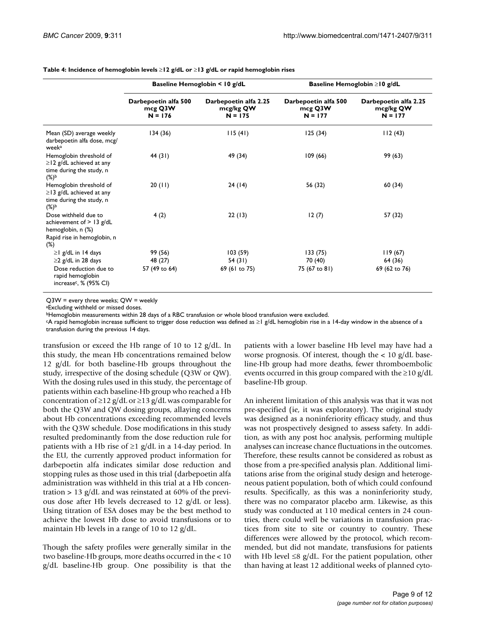|                                                                                                                  |                                              | Baseline Hemoglobin < 10 g/dL                   |                                              | Baseline Hemoglobin $\geq$ 10 g/dL              |  |  |
|------------------------------------------------------------------------------------------------------------------|----------------------------------------------|-------------------------------------------------|----------------------------------------------|-------------------------------------------------|--|--|
|                                                                                                                  | Darbepoetin alfa 500<br>mcg Q3W<br>$N = 176$ | Darbepoetin alfa 2.25<br>mcg/kg QW<br>$N = 175$ | Darbepoetin alfa 500<br>mcg Q3W<br>$N = 177$ | Darbepoetin alfa 2.25<br>mcg/kg QW<br>$N = 177$ |  |  |
| Mean (SD) average weekly<br>darbepoetin alfa dose, mcg/<br>week <sup>a</sup>                                     | 134(36)                                      | 115(41)                                         | 125(34)                                      | 112(43)                                         |  |  |
| Hemoglobin threshold of<br>$\geq$   2 g/dL achieved at any<br>time during the study, n<br>$(\%)^{\mathsf{b}}$    | 44 (31)                                      | 49 (34)                                         | 109(66)                                      | 99 (63)                                         |  |  |
| Hemoglobin threshold of<br>$\geq$ 13 g/dL achieved at any<br>time during the study, n<br>$(\%)^{\mathsf{b}}$     | 20(11)                                       | 24 (14)                                         | 56 (32)                                      | 60 (34)                                         |  |  |
| Dose withheld due to<br>achievement of $> 13$ g/dL<br>hemoglobin, n (%)<br>Rapid rise in hemoglobin, n<br>$(\%)$ | 4(2)                                         | 22(13)                                          | 12(7)                                        | 57 (32)                                         |  |  |
| $\geq$   g/dL in 14 days                                                                                         | 99 (56)                                      | 103(59)                                         | 133(75)                                      | 119(67)                                         |  |  |
| $\geq$ 2 g/dL in 28 days                                                                                         | 48 (27)                                      | 54 (31)                                         | 70 (40)                                      | 64 (36)                                         |  |  |
| Dose reduction due to<br>rapid hemoglobin<br>increase <sup>c</sup> , % (95% CI)                                  | 57 (49 to 64)                                | 69 (61 to 75)                                   | 75 (67 to 81)                                | 69 (62 to 76)                                   |  |  |

<span id="page-8-0"></span>**Table 4: Incidence of hemoglobin levels** ≥**12 g/dL or** ≥**13 g/dL or rapid hemoglobin rises**

Q3W = every three weeks; QW = weekly

aExcluding withheld or missed doses.

**bHemoglobin measurements within 28 days of a RBC transfusion or whole blood transfusion were excluded.** 

cA rapid hemoglobin increase sufficient to trigger dose reduction was defined as ≥1 g/dL hemoglobin rise in a 14-day window in the absence of a transfusion during the previous 14 days.

transfusion or exceed the Hb range of 10 to 12 g/dL. In this study, the mean Hb concentrations remained below 12 g/dL for both baseline-Hb groups throughout the study, irrespective of the dosing schedule (Q3W or QW). With the dosing rules used in this study, the percentage of patients within each baseline-Hb group who reached a Hb concentration of  $\geq$ 12 g/dL or  $\geq$ 13 g/dL was comparable for both the Q3W and QW dosing groups, allaying concerns about Hb concentrations exceeding recommended levels with the Q3W schedule. Dose modifications in this study resulted predominantly from the dose reduction rule for patients with a Hb rise of  $\geq$ 1 g/dL in a 14-day period. In the EU, the currently approved product information for darbepoetin alfa indicates similar dose reduction and stopping rules as those used in this trial (darbepoetin alfa administration was withheld in this trial at a Hb concentration  $> 13$  g/dL and was reinstated at 60% of the previous dose after Hb levels decreased to 12 g/dL or less). Using titration of ESA doses may be the best method to achieve the lowest Hb dose to avoid transfusions or to maintain Hb levels in a range of 10 to 12 g/dL.

Though the safety profiles were generally similar in the two baseline-Hb groups, more deaths occurred in the < 10 g/dL baseline-Hb group. One possibility is that the patients with a lower baseline Hb level may have had a worse prognosis. Of interest, though the < 10 g/dL baseline-Hb group had more deaths, fewer thromboembolic events occurred in this group compared with the  $\geq$ 10 g/dL baseline-Hb group.

An inherent limitation of this analysis was that it was not pre-specified (ie, it was exploratory). The original study was designed as a noninferiority efficacy study, and thus was not prospectively designed to assess safety. In addition, as with any post hoc analysis, performing multiple analyses can increase chance fluctuations in the outcomes. Therefore, these results cannot be considered as robust as those from a pre-specified analysis plan. Additional limitations arise from the original study design and heterogeneous patient population, both of which could confound results. Specifically, as this was a noninferiority study, there was no comparator placebo arm. Likewise, as this study was conducted at 110 medical centers in 24 countries, there could well be variations in transfusion practices from site to site or country to country. These differences were allowed by the protocol, which recommended, but did not mandate, transfusions for patients with Hb level  $\leq 8$  g/dL. For the patient population, other than having at least 12 additional weeks of planned cyto-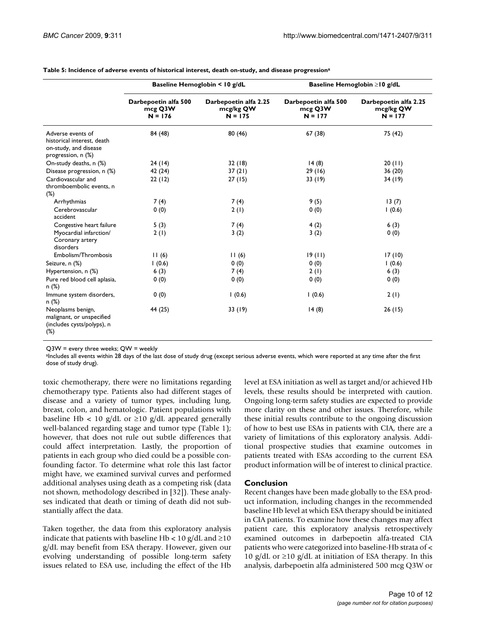|                                                                                                |                                              | Baseline Hemoglobin < 10 g/dL                   |                                              | Baseline Hemoglobin ≥10 g/dL                    |  |  |
|------------------------------------------------------------------------------------------------|----------------------------------------------|-------------------------------------------------|----------------------------------------------|-------------------------------------------------|--|--|
|                                                                                                | Darbepoetin alfa 500<br>mcg Q3W<br>$N = 176$ | Darbepoetin alfa 2.25<br>mcg/kg QW<br>$N = 175$ | Darbepoetin alfa 500<br>mcg Q3W<br>$N = 177$ | Darbepoetin alfa 2.25<br>mcg/kg QW<br>$N = 177$ |  |  |
| Adverse events of<br>historical interest, death<br>on-study, and disease<br>progression, n (%) | 84 (48)                                      | 80(46)                                          | 67(38)                                       | 75 (42)                                         |  |  |
| On-study deaths, n (%)                                                                         | 24(14)                                       | 32(18)                                          | 14(8)                                        | 20(11)                                          |  |  |
| Disease progression, n (%)                                                                     | 42 (24)                                      | 37(21)                                          | 29(16)                                       | 36(20)                                          |  |  |
| Cardiovascular and<br>thromboembolic events, n<br>$(\%)$                                       | 22(12)                                       | 27(15)                                          | 33(19)                                       | 34(19)                                          |  |  |
| Arrhythmias                                                                                    | 7(4)                                         | 7(4)                                            | 9(5)                                         | 13(7)                                           |  |  |
| Cerebrovascular<br>accident                                                                    | 0(0)                                         | 2(1)                                            | 0(0)                                         | 1(0.6)                                          |  |  |
| Congestive heart failure                                                                       | 5(3)                                         | 7(4)                                            | 4(2)                                         | 6(3)                                            |  |  |
| Myocardial infarction/<br>Coronary artery<br>disorders                                         | 2(1)                                         | 3(2)                                            | 3(2)                                         | 0(0)                                            |  |  |
| Embolism/Thrombosis                                                                            | 11(6)                                        | 11(6)                                           | 19(11)                                       | 17(10)                                          |  |  |
| Seizure, n (%)                                                                                 | 1(0.6)                                       | 0(0)                                            | 0(0)                                         | 1(0.6)                                          |  |  |
| Hypertension, n (%)                                                                            | 6(3)                                         | 7(4)                                            | 2(1)                                         | 6(3)                                            |  |  |
| Pure red blood cell aplasia,<br>n (%)                                                          | 0(0)                                         | 0(0)                                            | 0(0)                                         | 0(0)                                            |  |  |
| Immune system disorders,<br>n(%)                                                               | 0(0)                                         | 1(0.6)                                          | (0.6)                                        | 2(1)                                            |  |  |
| Neoplasms benign,<br>malignant, or unspecified<br>(includes cysts/polyps), n<br>$(\%)$         | 44 (25)                                      | 33 (19)                                         | 14(8)                                        | 26(15)                                          |  |  |

<span id="page-9-0"></span>**Table 5: Incidence of adverse events of historical interest, death on-study, and disease progressiona**

Q3W = every three weeks; QW = weekly

aIncludes all events within 28 days of the last dose of study drug (except serious adverse events, which were reported at any time after the first dose of study drug).

toxic chemotherapy, there were no limitations regarding chemotherapy type. Patients also had different stages of disease and a variety of tumor types, including lung, breast, colon, and hematologic. Patient populations with baseline Hb < 10 g/dL or  $\geq$ 10 g/dL appeared generally well-balanced regarding stage and tumor type (Table [1\)](#page-4-0); however, that does not rule out subtle differences that could affect interpretation. Lastly, the proportion of patients in each group who died could be a possible confounding factor. To determine what role this last factor might have, we examined survival curves and performed additional analyses using death as a competing risk (data not shown, methodology described in [\[32\]](#page-11-21)). These analyses indicated that death or timing of death did not substantially affect the data.

Taken together, the data from this exploratory analysis indicate that patients with baseline Hb <  $10 \text{ g/d}$ L and  $\geq 10$ g/dL may benefit from ESA therapy. However, given our evolving understanding of possible long-term safety issues related to ESA use, including the effect of the Hb

level at ESA initiation as well as target and/or achieved Hb levels, these results should be interpreted with caution. Ongoing long-term safety studies are expected to provide more clarity on these and other issues. Therefore, while these initial results contribute to the ongoing discussion of how to best use ESAs in patients with CIA, there are a variety of limitations of this exploratory analysis. Additional prospective studies that examine outcomes in patients treated with ESAs according to the current ESA product information will be of interest to clinical practice.

# **Conclusion**

Recent changes have been made globally to the ESA product information, including changes in the recommended baseline Hb level at which ESA therapy should be initiated in CIA patients. To examine how these changes may affect patient care, this exploratory analysis retrospectively examined outcomes in darbepoetin alfa-treated CIA patients who were categorized into baseline-Hb strata of < 10 g/dL or ≥10 g/dL at initiation of ESA therapy. In this analysis, darbepoetin alfa administered 500 mcg Q3W or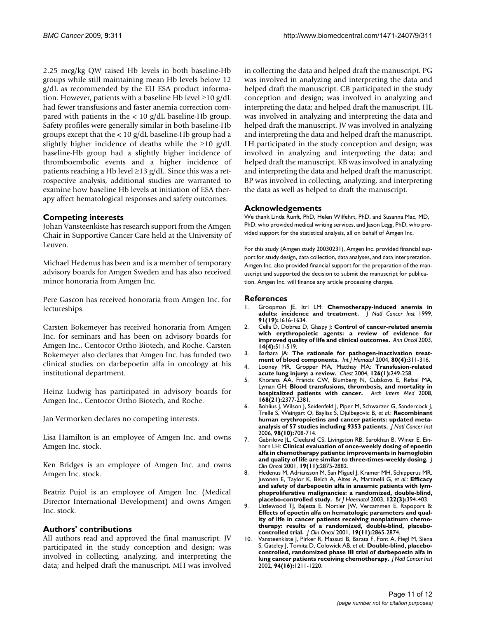2.25 mcg/kg QW raised Hb levels in both baseline-Hb groups while still maintaining mean Hb levels below 12 g/dL as recommended by the EU ESA product information. However, patients with a baseline Hb level ≥10 g/dL had fewer transfusions and faster anemia correction compared with patients in the  $< 10$  g/dL baseline-Hb group. Safety profiles were generally similar in both baseline-Hb groups except that the < 10 g/dL baseline-Hb group had a slightly higher incidence of deaths while the  $\geq 10$  g/dL baseline-Hb group had a slightly higher incidence of thromboembolic events and a higher incidence of patients reaching a Hb level ≥13 g/dL. Since this was a retrospective analysis, additional studies are warranted to examine how baseline Hb levels at initiation of ESA therapy affect hematological responses and safety outcomes.

# **Competing interests**

Johan Vansteenkiste has research support from the Amgen Chair in Supportive Cancer Care held at the University of Leuven.

Michael Hedenus has been and is a member of temporary advisory boards for Amgen Sweden and has also received minor honoraria from Amgen Inc.

Pere Gascon has received honoraria from Amgen Inc. for lectureships.

Carsten Bokemeyer has received honoraria from Amgen Inc. for seminars and has been on advisory boards for Amgen Inc., Centocor Ortho Biotech, and Roche. Carsten Bokemeyer also declares that Amgen Inc. has funded two clinical studies on darbepoetin alfa in oncology at his institutional department.

Heinz Ludwig has participated in advisory boards for Amgen Inc., Centocor Ortho Biotech, and Roche.

Jan Vermorken declares no competing interests.

Lisa Hamilton is an employee of Amgen Inc. and owns Amgen Inc. stock.

Ken Bridges is an employee of Amgen Inc. and owns Amgen Inc. stock.

Beatriz Pujol is an employee of Amgen Inc. (Medical Director International Development) and owns Amgen Inc. stock.

# **Authors' contributions**

All authors read and approved the final manuscript. JV participated in the study conception and design; was involved in collecting, analyzing, and interpreting the data; and helped draft the manuscript. MH was involved in collecting the data and helped draft the manuscript. PG was involved in analyzing and interpreting the data and helped draft the manuscript. CB participated in the study conception and design; was involved in analyzing and interpreting the data; and helped draft the manuscript. HL was involved in analyzing and interpreting the data and helped draft the manuscript. JV was involved in analyzing and interpreting the data and helped draft the manuscript. LH participated in the study conception and design; was involved in analyzing and interpreting the data; and helped draft the manuscript. KB was involved in analyzing and interpreting the data and helped draft the manuscript. BP was involved in collecting, analyzing, and interpreting the data as well as helped to draft the manuscript.

# **Acknowledgements**

We thank Linda Runft, PhD, Helen Wilfehrt, PhD, and Susanna Mac, MD, PhD, who provided medical writing services, and Jason Legg, PhD, who provided support for the statistical analysis, all on behalf of Amgen Inc.

For this study (Amgen study 20030231), Amgen Inc. provided financial support for study design, data collection, data analyses, and data interpretation. Amgen Inc. also provided financial support for the preparation of the manuscript and supported the decision to submit the manuscript for publication. Amgen Inc. will finance any article processing charges.

#### **References**

- <span id="page-10-0"></span>1. Groopman JE, Itri LM: **[Chemotherapy-induced anemia in](http://www.ncbi.nlm.nih.gov/entrez/query.fcgi?cmd=Retrieve&db=PubMed&dopt=Abstract&list_uids=10511589) [adults: incidence and treatment.](http://www.ncbi.nlm.nih.gov/entrez/query.fcgi?cmd=Retrieve&db=PubMed&dopt=Abstract&list_uids=10511589)** *J Natl Cancer Inst* 1999, **91(19):**1616-1634.
- <span id="page-10-1"></span>2. Cella D, Dobrez D, Glaspy J: **[Control of cancer-related anemia](http://www.ncbi.nlm.nih.gov/entrez/query.fcgi?cmd=Retrieve&db=PubMed&dopt=Abstract&list_uids=12649095) [with erythropoietic agents: a review of evidence for](http://www.ncbi.nlm.nih.gov/entrez/query.fcgi?cmd=Retrieve&db=PubMed&dopt=Abstract&list_uids=12649095) [improved quality of life and clinical outcomes.](http://www.ncbi.nlm.nih.gov/entrez/query.fcgi?cmd=Retrieve&db=PubMed&dopt=Abstract&list_uids=12649095)** *Ann Oncol* 2003, **14(4):**511-519.
- <span id="page-10-2"></span>3. Barbara JA: **[The rationale for pathogen-inactivation treat](http://www.ncbi.nlm.nih.gov/entrez/query.fcgi?cmd=Retrieve&db=PubMed&dopt=Abstract&list_uids=15615254)[ment of blood components.](http://www.ncbi.nlm.nih.gov/entrez/query.fcgi?cmd=Retrieve&db=PubMed&dopt=Abstract&list_uids=15615254)** *Int J Hematol* 2004, **80(4):**311-316.
- <span id="page-10-3"></span>4. Looney MR, Gropper MA, Matthay MA: **[Transfusion-related](http://www.ncbi.nlm.nih.gov/entrez/query.fcgi?cmd=Retrieve&db=PubMed&dopt=Abstract&list_uids=15249468) [acute lung injury: a review.](http://www.ncbi.nlm.nih.gov/entrez/query.fcgi?cmd=Retrieve&db=PubMed&dopt=Abstract&list_uids=15249468)** *Chest* 2004, **126(1):**249-258.
- <span id="page-10-4"></span>5. Khorana AA, Francis CW, Blumberg N, Culakova E, Refaai MA, Lyman GH: **[Blood transfusions, thrombosis, and mortality in](http://www.ncbi.nlm.nih.gov/entrez/query.fcgi?cmd=Retrieve&db=PubMed&dopt=Abstract&list_uids=19029504) [hospitalized patients with cancer.](http://www.ncbi.nlm.nih.gov/entrez/query.fcgi?cmd=Retrieve&db=PubMed&dopt=Abstract&list_uids=19029504)** *Arch Intern Med* 2008, **168(21):**2377-2381.
- <span id="page-10-5"></span>6. Bohlius J, Wilson J, Seidenfeld J, Piper M, Schwarzer G, Sandercock J, Trelle S, Weingart O, Bayliss S, Djulbegovic B, *et al.*: **[Recombinant](http://www.ncbi.nlm.nih.gov/entrez/query.fcgi?cmd=Retrieve&db=PubMed&dopt=Abstract&list_uids=16705125) [human erythropoietins and cancer patients: updated meta](http://www.ncbi.nlm.nih.gov/entrez/query.fcgi?cmd=Retrieve&db=PubMed&dopt=Abstract&list_uids=16705125)[analysis of 57 studies including 9353 patients.](http://www.ncbi.nlm.nih.gov/entrez/query.fcgi?cmd=Retrieve&db=PubMed&dopt=Abstract&list_uids=16705125)** *J Natl Cancer Inst* 2006, **98(10):**708-714.
- <span id="page-10-6"></span>7. Gabrilove JL, Cleeland CS, Livingston RB, Sarokhan B, Winer E, Einhorn LH: **[Clinical evaluation of once-weekly dosing of epoetin](http://www.ncbi.nlm.nih.gov/entrez/query.fcgi?cmd=Retrieve&db=PubMed&dopt=Abstract&list_uids=11387360) [alfa in chemotherapy patients: improvements in hemoglobin](http://www.ncbi.nlm.nih.gov/entrez/query.fcgi?cmd=Retrieve&db=PubMed&dopt=Abstract&list_uids=11387360) [and quality of life are similar to three-times-weekly dosing.](http://www.ncbi.nlm.nih.gov/entrez/query.fcgi?cmd=Retrieve&db=PubMed&dopt=Abstract&list_uids=11387360)** *J Clin Oncol* 2001, **19(11):**2875-2882.
- <span id="page-10-8"></span>8. Hedenus M, Adriansson M, San Miguel J, Kramer MH, Schipperus MR, Juvonen E, Taylor K, Belch A, Altes A, Martinelli G, *et al.*: **[Efficacy](http://www.ncbi.nlm.nih.gov/entrez/query.fcgi?cmd=Retrieve&db=PubMed&dopt=Abstract&list_uids=12877666) [and safety of darbepoetin alfa in anaemic patients with lym](http://www.ncbi.nlm.nih.gov/entrez/query.fcgi?cmd=Retrieve&db=PubMed&dopt=Abstract&list_uids=12877666)phoproliferative malignancies: a randomized, double-blind, [placebo-controlled study.](http://www.ncbi.nlm.nih.gov/entrez/query.fcgi?cmd=Retrieve&db=PubMed&dopt=Abstract&list_uids=12877666)** *Br J Haematol* 2003, **122(3):**394-403.
- 9. Littlewood TJ, Bajetta E, Nortier JW, Vercammen E, Rapoport B: **[Effects of epoetin alfa on hematologic parameters and qual](http://www.ncbi.nlm.nih.gov/entrez/query.fcgi?cmd=Retrieve&db=PubMed&dopt=Abstract&list_uids=11387359)ity of life in cancer patients receiving nonplatinum chemotherapy: results of a randomized, double-blind, placebo[controlled trial.](http://www.ncbi.nlm.nih.gov/entrez/query.fcgi?cmd=Retrieve&db=PubMed&dopt=Abstract&list_uids=11387359)** *J Clin Oncol* 2001, **19(11):**2865-2874.
- <span id="page-10-7"></span>Vansteenkiste J, Pirker R, Massuti B, Barata F, Font A, Fiegl M, Siena S, Gateley J, Tomita D, Colowick AB, *et al.*: **[Double-blind, placebo](http://www.ncbi.nlm.nih.gov/entrez/query.fcgi?cmd=Retrieve&db=PubMed&dopt=Abstract&list_uids=12189224)[controlled, randomized phase III trial of darbepoetin alfa in](http://www.ncbi.nlm.nih.gov/entrez/query.fcgi?cmd=Retrieve&db=PubMed&dopt=Abstract&list_uids=12189224) [lung cancer patients receiving chemotherapy.](http://www.ncbi.nlm.nih.gov/entrez/query.fcgi?cmd=Retrieve&db=PubMed&dopt=Abstract&list_uids=12189224)** *J Natl Cancer Inst* 2002, **94(16):**1211-1220.